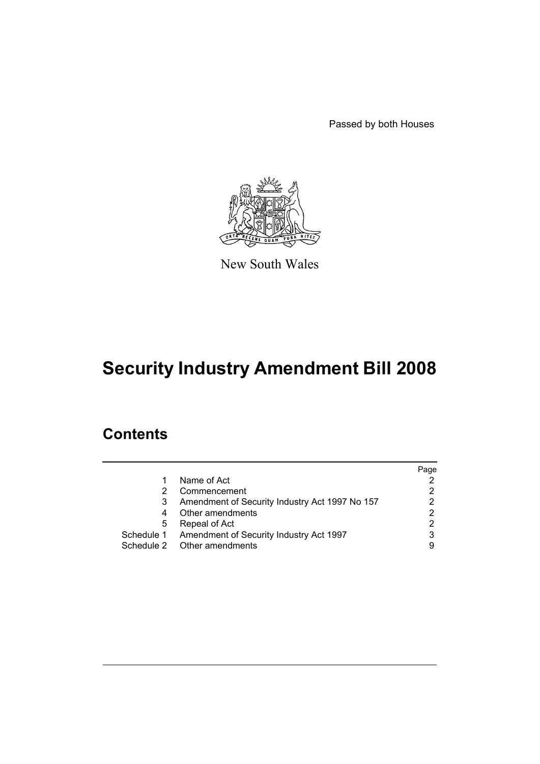Passed by both Houses



New South Wales

# **Security Industry Amendment Bill 2008**

# **Contents**

|   |                                                    | Page |
|---|----------------------------------------------------|------|
| 1 | Name of Act                                        |      |
| 2 | Commencement                                       |      |
| 3 | Amendment of Security Industry Act 1997 No 157     |      |
| 4 | Other amendments                                   |      |
| 5 | Repeal of Act                                      |      |
|   | Schedule 1 Amendment of Security Industry Act 1997 | 3    |
|   | Schedule 2 Other amendments                        |      |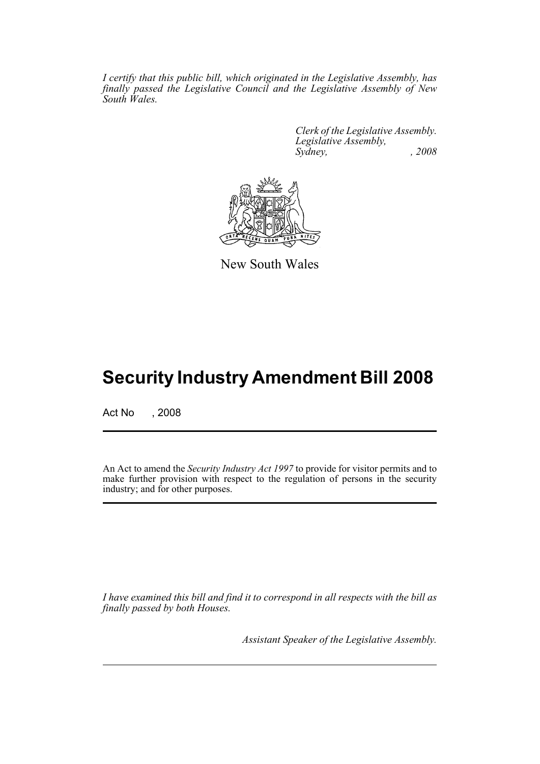*I certify that this public bill, which originated in the Legislative Assembly, has finally passed the Legislative Council and the Legislative Assembly of New South Wales.*

> *Clerk of the Legislative Assembly. Legislative Assembly, Sydney, , 2008*



New South Wales

# **Security Industry Amendment Bill 2008**

Act No , 2008

An Act to amend the *Security Industry Act 1997* to provide for visitor permits and to make further provision with respect to the regulation of persons in the security industry; and for other purposes.

*I have examined this bill and find it to correspond in all respects with the bill as finally passed by both Houses.*

*Assistant Speaker of the Legislative Assembly.*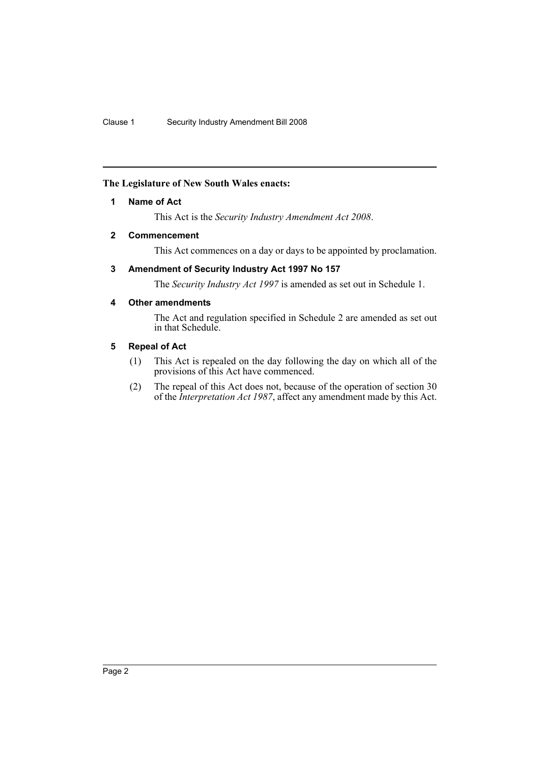## <span id="page-2-0"></span>**The Legislature of New South Wales enacts:**

## **1 Name of Act**

This Act is the *Security Industry Amendment Act 2008*.

## <span id="page-2-1"></span>**2 Commencement**

This Act commences on a day or days to be appointed by proclamation.

## <span id="page-2-2"></span>**3 Amendment of Security Industry Act 1997 No 157**

The *Security Industry Act 1997* is amended as set out in Schedule 1.

## <span id="page-2-3"></span>**4 Other amendments**

The Act and regulation specified in Schedule 2 are amended as set out in that Schedule.

## <span id="page-2-4"></span>**5 Repeal of Act**

- (1) This Act is repealed on the day following the day on which all of the provisions of this Act have commenced.
- (2) The repeal of this Act does not, because of the operation of section 30 of the *Interpretation Act 1987*, affect any amendment made by this Act.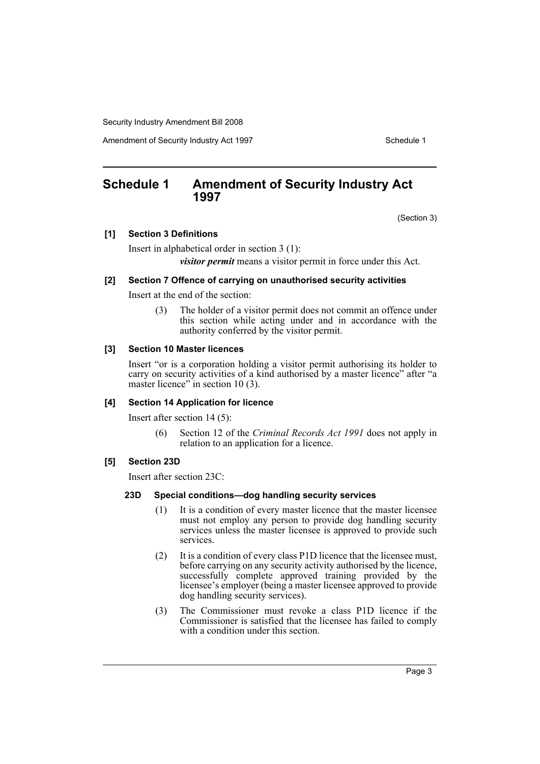Amendment of Security Industry Act 1997 **Schedule 1** Schedule 1

# <span id="page-3-0"></span>**Schedule 1 Amendment of Security Industry Act 1997**

(Section 3)

## **[1] Section 3 Definitions**

Insert in alphabetical order in section 3 (1): *visitor permit* means a visitor permit in force under this Act.

## **[2] Section 7 Offence of carrying on unauthorised security activities**

Insert at the end of the section:

(3) The holder of a visitor permit does not commit an offence under this section while acting under and in accordance with the authority conferred by the visitor permit.

## **[3] Section 10 Master licences**

Insert "or is a corporation holding a visitor permit authorising its holder to carry on security activities of a kind authorised by a master licence" after "a master licence" in section 10 (3).

## **[4] Section 14 Application for licence**

Insert after section 14 (5):

(6) Section 12 of the *Criminal Records Act 1991* does not apply in relation to an application for a licence.

## **[5] Section 23D**

Insert after section 23C:

## **23D Special conditions—dog handling security services**

- (1) It is a condition of every master licence that the master licensee must not employ any person to provide dog handling security services unless the master licensee is approved to provide such services.
- (2) It is a condition of every class P1D licence that the licensee must, before carrying on any security activity authorised by the licence, successfully complete approved training provided by the licensee's employer (being a master licensee approved to provide dog handling security services).
- (3) The Commissioner must revoke a class P1D licence if the Commissioner is satisfied that the licensee has failed to comply with a condition under this section.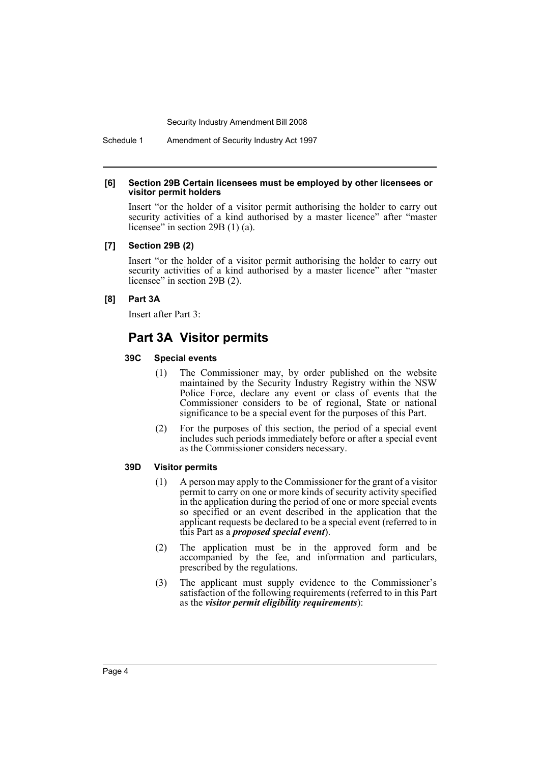Schedule 1 Amendment of Security Industry Act 1997

#### **[6] Section 29B Certain licensees must be employed by other licensees or visitor permit holders**

Insert "or the holder of a visitor permit authorising the holder to carry out security activities of a kind authorised by a master licence" after "master licensee" in section 29B (1) (a).

## **[7] Section 29B (2)**

Insert "or the holder of a visitor permit authorising the holder to carry out security activities of a kind authorised by a master licence" after "master licensee" in section 29B (2).

## **[8] Part 3A**

Insert after Part 3:

## **Part 3A Visitor permits**

## **39C Special events**

- (1) The Commissioner may, by order published on the website maintained by the Security Industry Registry within the NSW Police Force, declare any event or class of events that the Commissioner considers to be of regional, State or national significance to be a special event for the purposes of this Part.
- (2) For the purposes of this section, the period of a special event includes such periods immediately before or after a special event as the Commissioner considers necessary.

## **39D Visitor permits**

- (1) A person may apply to the Commissioner for the grant of a visitor permit to carry on one or more kinds of security activity specified in the application during the period of one or more special events so specified or an event described in the application that the applicant requests be declared to be a special event (referred to in this Part as a *proposed special event*).
- (2) The application must be in the approved form and be accompanied by the fee, and information and particulars, prescribed by the regulations.
- (3) The applicant must supply evidence to the Commissioner's satisfaction of the following requirements (referred to in this Part as the *visitor permit eligibility requirements*):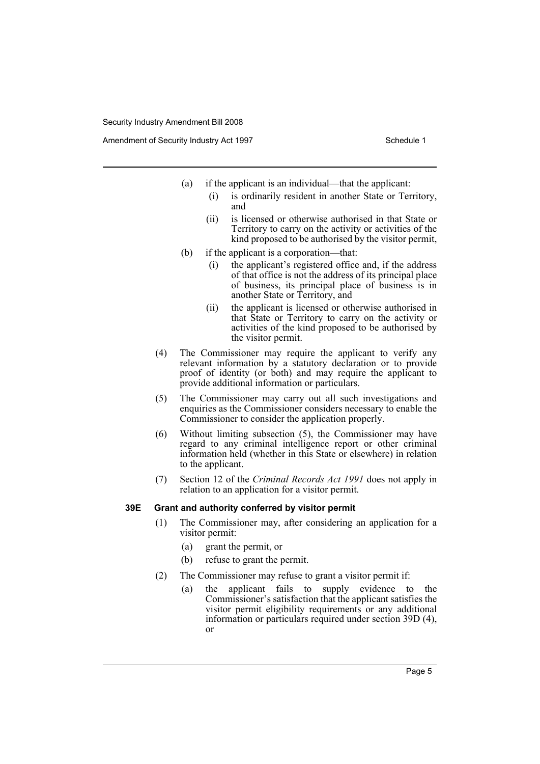Amendment of Security Industry Act 1997 **Schedule 1** Schedule 1

- (a) if the applicant is an individual—that the applicant:
	- (i) is ordinarily resident in another State or Territory, and
	- (ii) is licensed or otherwise authorised in that State or Territory to carry on the activity or activities of the kind proposed to be authorised by the visitor permit,
- (b) if the applicant is a corporation—that:
	- (i) the applicant's registered office and, if the address of that office is not the address of its principal place of business, its principal place of business is in another State or Territory, and
	- (ii) the applicant is licensed or otherwise authorised in that State or Territory to carry on the activity or activities of the kind proposed to be authorised by the visitor permit.
- (4) The Commissioner may require the applicant to verify any relevant information by a statutory declaration or to provide proof of identity (or both) and may require the applicant to provide additional information or particulars.
- (5) The Commissioner may carry out all such investigations and enquiries as the Commissioner considers necessary to enable the Commissioner to consider the application properly.
- (6) Without limiting subsection (5), the Commissioner may have regard to any criminal intelligence report or other criminal information held (whether in this State or elsewhere) in relation to the applicant.
- (7) Section 12 of the *Criminal Records Act 1991* does not apply in relation to an application for a visitor permit.

## **39E Grant and authority conferred by visitor permit**

- (1) The Commissioner may, after considering an application for a visitor permit:
	- (a) grant the permit, or
	- (b) refuse to grant the permit.
- (2) The Commissioner may refuse to grant a visitor permit if:
	- (a) the applicant fails to supply evidence to the Commissioner's satisfaction that the applicant satisfies the visitor permit eligibility requirements or any additional information or particulars required under section 39D (4), or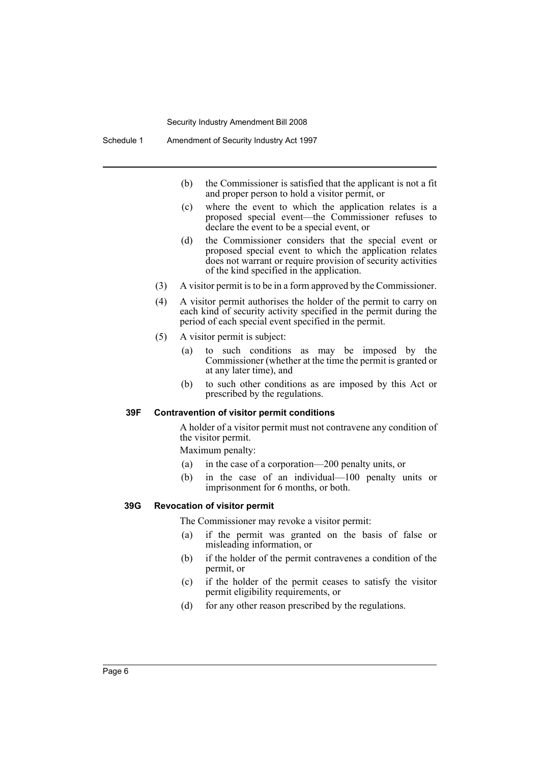- (b) the Commissioner is satisfied that the applicant is not a fit and proper person to hold a visitor permit, or
- (c) where the event to which the application relates is a proposed special event—the Commissioner refuses to declare the event to be a special event, or
- (d) the Commissioner considers that the special event or proposed special event to which the application relates does not warrant or require provision of security activities of the kind specified in the application.
- (3) A visitor permit is to be in a form approved by the Commissioner.
- (4) A visitor permit authorises the holder of the permit to carry on each kind of security activity specified in the permit during the period of each special event specified in the permit.
- (5) A visitor permit is subject:
	- (a) to such conditions as may be imposed by the Commissioner (whether at the time the permit is granted or at any later time), and
	- (b) to such other conditions as are imposed by this Act or prescribed by the regulations.

### **39F Contravention of visitor permit conditions**

A holder of a visitor permit must not contravene any condition of the visitor permit.

Maximum penalty:

- (a) in the case of a corporation—200 penalty units, or
- (b) in the case of an individual—100 penalty units or imprisonment for 6 months, or both.

## **39G Revocation of visitor permit**

The Commissioner may revoke a visitor permit:

- (a) if the permit was granted on the basis of false or misleading information, or
- (b) if the holder of the permit contravenes a condition of the permit, or
- (c) if the holder of the permit ceases to satisfy the visitor permit eligibility requirements, or
- (d) for any other reason prescribed by the regulations.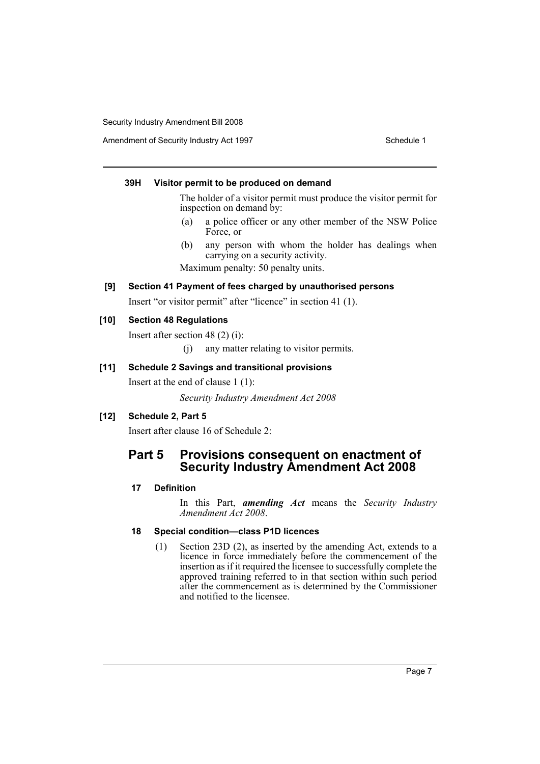Amendment of Security Industry Act 1997 **Schedule 1** Schedule 1

## **39H Visitor permit to be produced on demand**

The holder of a visitor permit must produce the visitor permit for inspection on demand by:

- (a) a police officer or any other member of the NSW Police Force, or
- (b) any person with whom the holder has dealings when carrying on a security activity.

Maximum penalty: 50 penalty units.

## **[9] Section 41 Payment of fees charged by unauthorised persons**

Insert "or visitor permit" after "licence" in section 41 (1).

## **[10] Section 48 Regulations**

Insert after section 48 (2) (i):

(j) any matter relating to visitor permits.

## **[11] Schedule 2 Savings and transitional provisions**

Insert at the end of clause 1 (1):

*Security Industry Amendment Act 2008*

## **[12] Schedule 2, Part 5**

Insert after clause 16 of Schedule 2:

## **Part 5 Provisions consequent on enactment of Security Industry Amendment Act 2008**

## **17 Definition**

In this Part, *amending Act* means the *Security Industry Amendment Act 2008*.

## **18 Special condition—class P1D licences**

(1) Section 23D (2), as inserted by the amending Act, extends to a licence in force immediately before the commencement of the insertion as if it required the licensee to successfully complete the approved training referred to in that section within such period after the commencement as is determined by the Commissioner and notified to the licensee.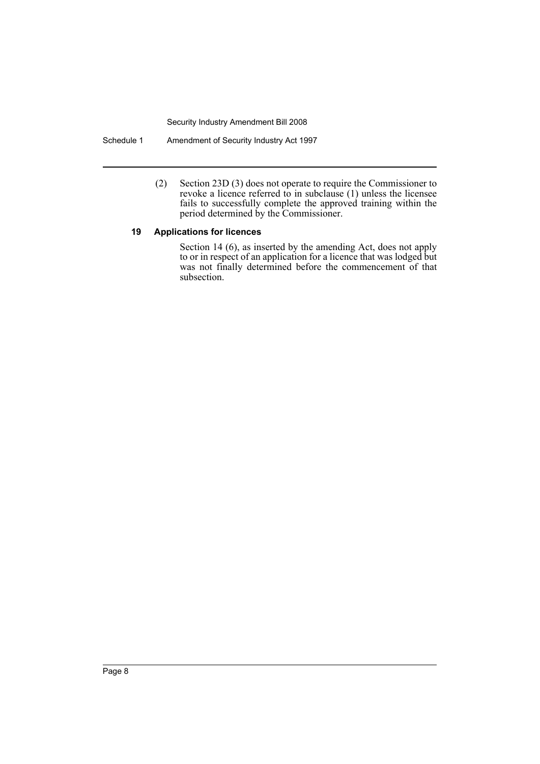Schedule 1 Amendment of Security Industry Act 1997

(2) Section 23D (3) does not operate to require the Commissioner to revoke a licence referred to in subclause (1) unless the licensee fails to successfully complete the approved training within the period determined by the Commissioner.

## **19 Applications for licences**

Section 14 (6), as inserted by the amending Act, does not apply to or in respect of an application for a licence that was lodged but was not finally determined before the commencement of that subsection.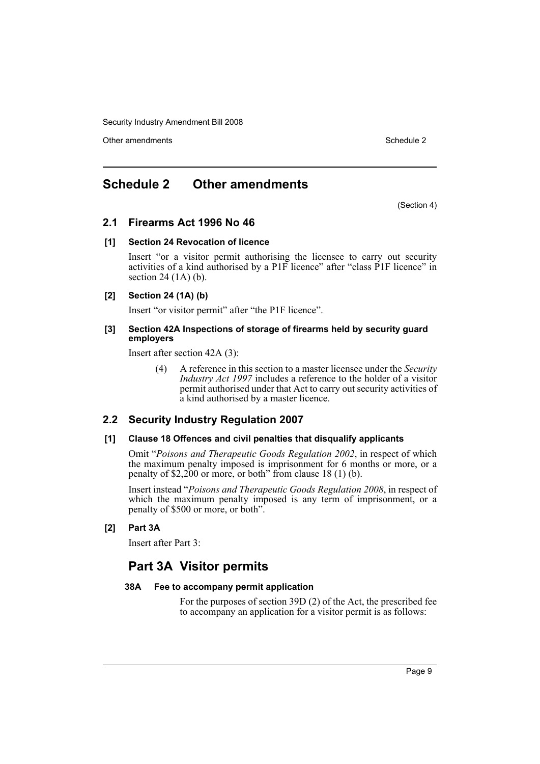Other amendments **Schedule 2** and 2 and 2 and 2 and 2 and 2 and 2 and 2 and 2 and 2 and 2 and 2 and 2 and 2 and 2 and 2 and 2 and 2 and 2 and 2 and 2 and 2 and 2 and 2 and 2 and 2 and 2 and 2 and 2 and 2 and 2 and 2 and 2

# <span id="page-9-0"></span>**Schedule 2 Other amendments**

(Section 4)

## **2.1 Firearms Act 1996 No 46**

## **[1] Section 24 Revocation of licence**

Insert "or a visitor permit authorising the licensee to carry out security activities of a kind authorised by a P1F licence" after "class P1F licence" in section 24 (1A) (b).

## **[2] Section 24 (1A) (b)**

Insert "or visitor permit" after "the P1F licence".

## **[3] Section 42A Inspections of storage of firearms held by security guard employers**

Insert after section 42A (3):

(4) A reference in this section to a master licensee under the *Security Industry Act 1997* includes a reference to the holder of a visitor permit authorised under that Act to carry out security activities of a kind authorised by a master licence.

## **2.2 Security Industry Regulation 2007**

## **[1] Clause 18 Offences and civil penalties that disqualify applicants**

Omit "*Poisons and Therapeutic Goods Regulation 2002*, in respect of which the maximum penalty imposed is imprisonment for 6 months or more, or a penalty of \$2,200 or more, or both" from clause 18 (1) (b).

Insert instead "*Poisons and Therapeutic Goods Regulation 2008*, in respect of which the maximum penalty imposed is any term of imprisonment, or a penalty of \$500 or more, or both".

## **[2] Part 3A**

Insert after Part 3:

## **Part 3A Visitor permits**

## **38A Fee to accompany permit application**

For the purposes of section 39D (2) of the Act, the prescribed fee to accompany an application for a visitor permit is as follows: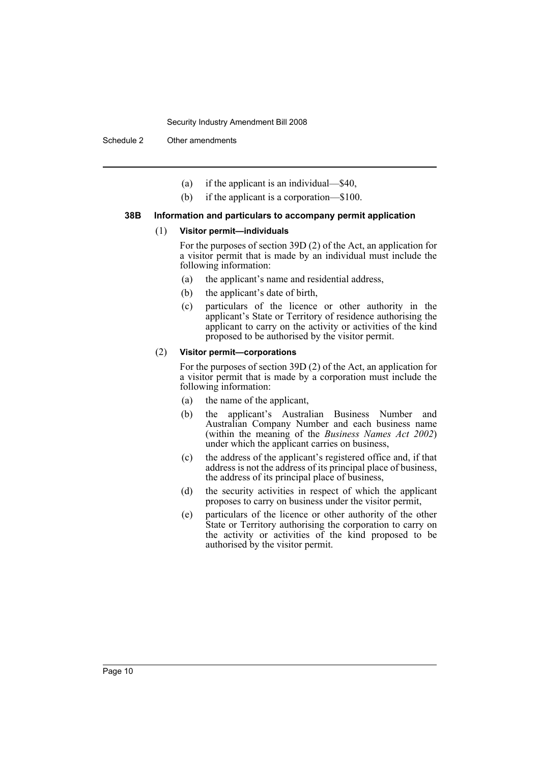- (a) if the applicant is an individual—\$40,
- (b) if the applicant is a corporation—\$100.

#### **38B Information and particulars to accompany permit application**

#### (1) **Visitor permit—individuals**

For the purposes of section 39D (2) of the Act, an application for a visitor permit that is made by an individual must include the following information:

- (a) the applicant's name and residential address,
- (b) the applicant's date of birth,
- (c) particulars of the licence or other authority in the applicant's State or Territory of residence authorising the applicant to carry on the activity or activities of the kind proposed to be authorised by the visitor permit.

### (2) **Visitor permit—corporations**

For the purposes of section 39D (2) of the Act, an application for a visitor permit that is made by a corporation must include the following information:

- (a) the name of the applicant,
- (b) the applicant's Australian Business Number and Australian Company Number and each business name (within the meaning of the *Business Names Act 2002*) under which the applicant carries on business,
- (c) the address of the applicant's registered office and, if that address is not the address of its principal place of business, the address of its principal place of business,
- (d) the security activities in respect of which the applicant proposes to carry on business under the visitor permit,
- (e) particulars of the licence or other authority of the other State or Territory authorising the corporation to carry on the activity or activities of the kind proposed to be authorised by the visitor permit.